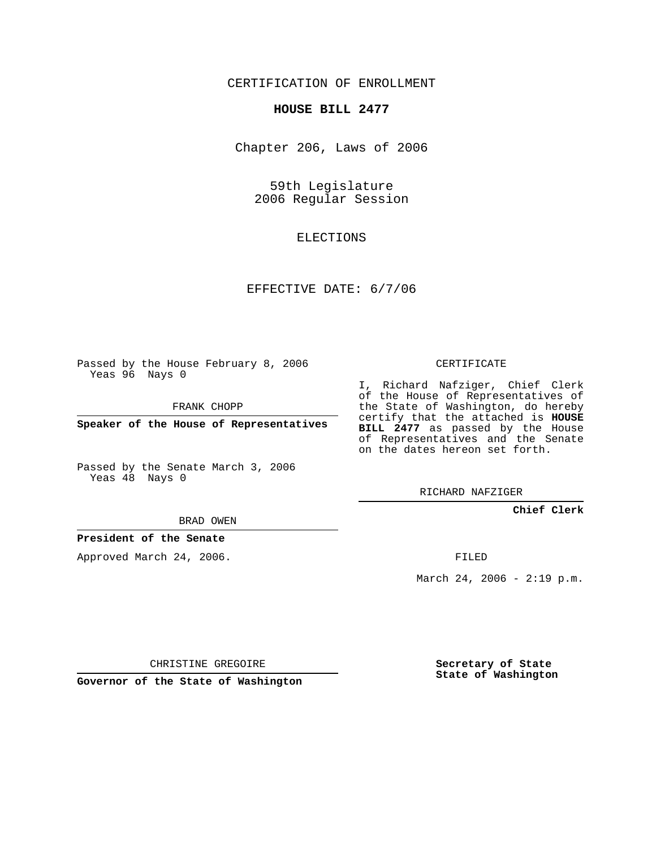CERTIFICATION OF ENROLLMENT

#### **HOUSE BILL 2477**

Chapter 206, Laws of 2006

59th Legislature 2006 Regular Session

# ELECTIONS

## EFFECTIVE DATE: 6/7/06

Passed by the House February 8, 2006 Yeas 96 Nays 0

FRANK CHOPP

**Speaker of the House of Representatives**

Passed by the Senate March 3, 2006 Yeas 48 Nays 0

# CERTIFICATE

I, Richard Nafziger, Chief Clerk of the House of Representatives of the State of Washington, do hereby certify that the attached is **HOUSE BILL 2477** as passed by the House of Representatives and the Senate on the dates hereon set forth.

RICHARD NAFZIGER

#### **Chief Clerk**

BRAD OWEN

#### **President of the Senate**

Approved March 24, 2006.

FILED

March 24, 2006 - 2:19 p.m.

CHRISTINE GREGOIRE

**Governor of the State of Washington**

**Secretary of State State of Washington**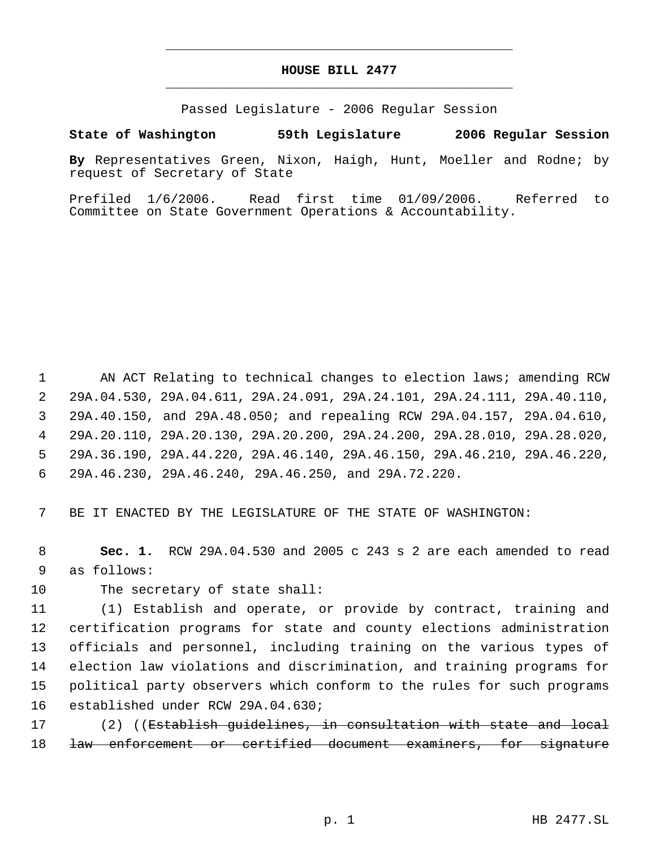# **HOUSE BILL 2477** \_\_\_\_\_\_\_\_\_\_\_\_\_\_\_\_\_\_\_\_\_\_\_\_\_\_\_\_\_\_\_\_\_\_\_\_\_\_\_\_\_\_\_\_\_

\_\_\_\_\_\_\_\_\_\_\_\_\_\_\_\_\_\_\_\_\_\_\_\_\_\_\_\_\_\_\_\_\_\_\_\_\_\_\_\_\_\_\_\_\_

Passed Legislature - 2006 Regular Session

### **State of Washington 59th Legislature 2006 Regular Session**

**By** Representatives Green, Nixon, Haigh, Hunt, Moeller and Rodne; by request of Secretary of State

Prefiled 1/6/2006. Read first time 01/09/2006. Referred to Committee on State Government Operations & Accountability.

1 AN ACT Relating to technical changes to election laws; amending RCW 29A.04.530, 29A.04.611, 29A.24.091, 29A.24.101, 29A.24.111, 29A.40.110, 29A.40.150, and 29A.48.050; and repealing RCW 29A.04.157, 29A.04.610, 29A.20.110, 29A.20.130, 29A.20.200, 29A.24.200, 29A.28.010, 29A.28.020, 29A.36.190, 29A.44.220, 29A.46.140, 29A.46.150, 29A.46.210, 29A.46.220, 29A.46.230, 29A.46.240, 29A.46.250, and 29A.72.220.

7 BE IT ENACTED BY THE LEGISLATURE OF THE STATE OF WASHINGTON:

 8 **Sec. 1.** RCW 29A.04.530 and 2005 c 243 s 2 are each amended to read 9 as follows:

10 The secretary of state shall:

 (1) Establish and operate, or provide by contract, training and certification programs for state and county elections administration officials and personnel, including training on the various types of election law violations and discrimination, and training programs for political party observers which conform to the rules for such programs established under RCW 29A.04.630;

17 (2) ((Establish quidelines, in consultation with state and local 18 <del>law enforcement or certified document examiners, for signature</del>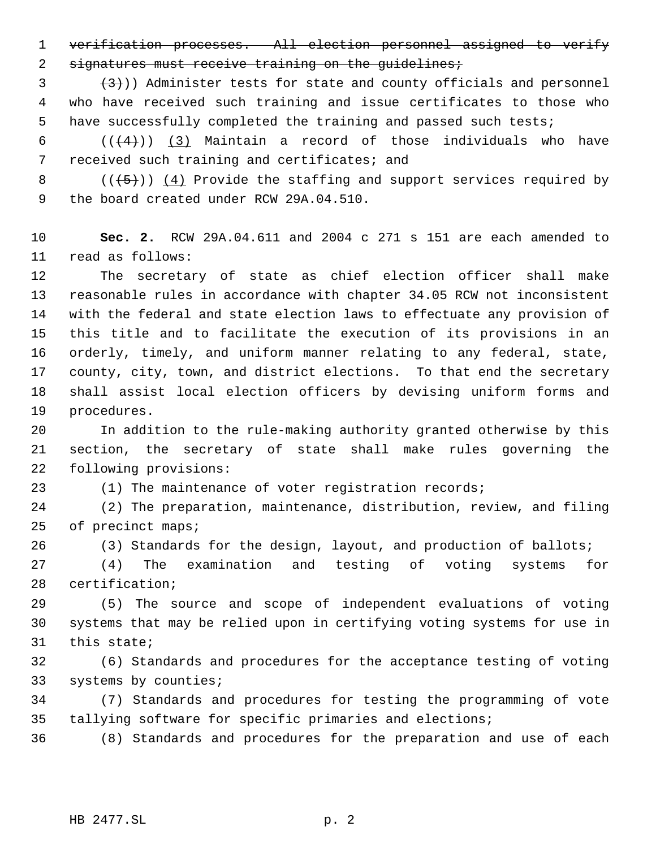verification processes. All election personnel assigned to verify 2 signatures must receive training on the guidelines;

 $(3+)$ ) Administer tests for state and county officials and personnel who have received such training and issue certificates to those who have successfully completed the training and passed such tests;

 $((+4))$   $(3)$  Maintain a record of those individuals who have received such training and certificates; and

8  $((+5))$   $(4)$  Provide the staffing and support services required by the board created under RCW 29A.04.510.

 **Sec. 2.** RCW 29A.04.611 and 2004 c 271 s 151 are each amended to read as follows:

 The secretary of state as chief election officer shall make reasonable rules in accordance with chapter 34.05 RCW not inconsistent with the federal and state election laws to effectuate any provision of this title and to facilitate the execution of its provisions in an orderly, timely, and uniform manner relating to any federal, state, county, city, town, and district elections. To that end the secretary shall assist local election officers by devising uniform forms and procedures.

 In addition to the rule-making authority granted otherwise by this section, the secretary of state shall make rules governing the following provisions:

(1) The maintenance of voter registration records;

 (2) The preparation, maintenance, distribution, review, and filing of precinct maps;

(3) Standards for the design, layout, and production of ballots;

 (4) The examination and testing of voting systems for certification;

 (5) The source and scope of independent evaluations of voting systems that may be relied upon in certifying voting systems for use in this state;

 (6) Standards and procedures for the acceptance testing of voting systems by counties;

 (7) Standards and procedures for testing the programming of vote tallying software for specific primaries and elections;

(8) Standards and procedures for the preparation and use of each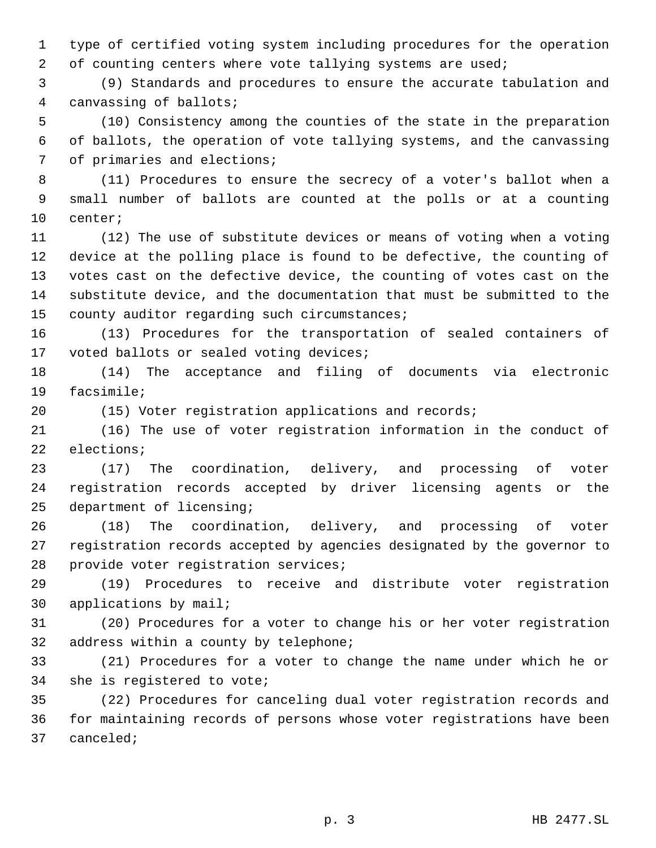type of certified voting system including procedures for the operation 2 of counting centers where vote tallying systems are used;

 (9) Standards and procedures to ensure the accurate tabulation and canvassing of ballots;

 (10) Consistency among the counties of the state in the preparation of ballots, the operation of vote tallying systems, and the canvassing of primaries and elections;

 (11) Procedures to ensure the secrecy of a voter's ballot when a small number of ballots are counted at the polls or at a counting center;

 (12) The use of substitute devices or means of voting when a voting device at the polling place is found to be defective, the counting of votes cast on the defective device, the counting of votes cast on the substitute device, and the documentation that must be submitted to the county auditor regarding such circumstances;

 (13) Procedures for the transportation of sealed containers of 17 voted ballots or sealed voting devices;

 (14) The acceptance and filing of documents via electronic facsimile;

(15) Voter registration applications and records;

 (16) The use of voter registration information in the conduct of elections;

 (17) The coordination, delivery, and processing of voter registration records accepted by driver licensing agents or the department of licensing;

 (18) The coordination, delivery, and processing of voter registration records accepted by agencies designated by the governor to provide voter registration services;

 (19) Procedures to receive and distribute voter registration applications by mail;

 (20) Procedures for a voter to change his or her voter registration address within a county by telephone;

 (21) Procedures for a voter to change the name under which he or she is registered to vote;

 (22) Procedures for canceling dual voter registration records and for maintaining records of persons whose voter registrations have been canceled;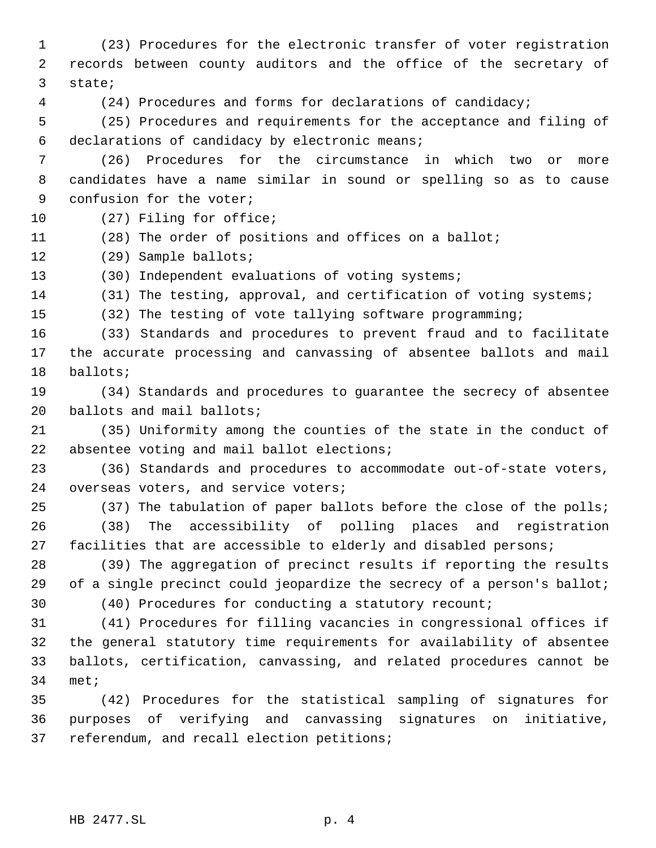(23) Procedures for the electronic transfer of voter registration records between county auditors and the office of the secretary of state; (24) Procedures and forms for declarations of candidacy; (25) Procedures and requirements for the acceptance and filing of declarations of candidacy by electronic means; (26) Procedures for the circumstance in which two or more candidates have a name similar in sound or spelling so as to cause confusion for the voter; (27) Filing for office; (28) The order of positions and offices on a ballot; (29) Sample ballots; (30) Independent evaluations of voting systems; (31) The testing, approval, and certification of voting systems; (32) The testing of vote tallying software programming; (33) Standards and procedures to prevent fraud and to facilitate the accurate processing and canvassing of absentee ballots and mail ballots; (34) Standards and procedures to guarantee the secrecy of absentee ballots and mail ballots; (35) Uniformity among the counties of the state in the conduct of absentee voting and mail ballot elections; (36) Standards and procedures to accommodate out-of-state voters, overseas voters, and service voters; (37) The tabulation of paper ballots before the close of the polls; (38) The accessibility of polling places and registration facilities that are accessible to elderly and disabled persons; (39) The aggregation of precinct results if reporting the results 29 of a single precinct could jeopardize the secrecy of a person's ballot; (40) Procedures for conducting a statutory recount; (41) Procedures for filling vacancies in congressional offices if the general statutory time requirements for availability of absentee ballots, certification, canvassing, and related procedures cannot be met; (42) Procedures for the statistical sampling of signatures for purposes of verifying and canvassing signatures on initiative, referendum, and recall election petitions;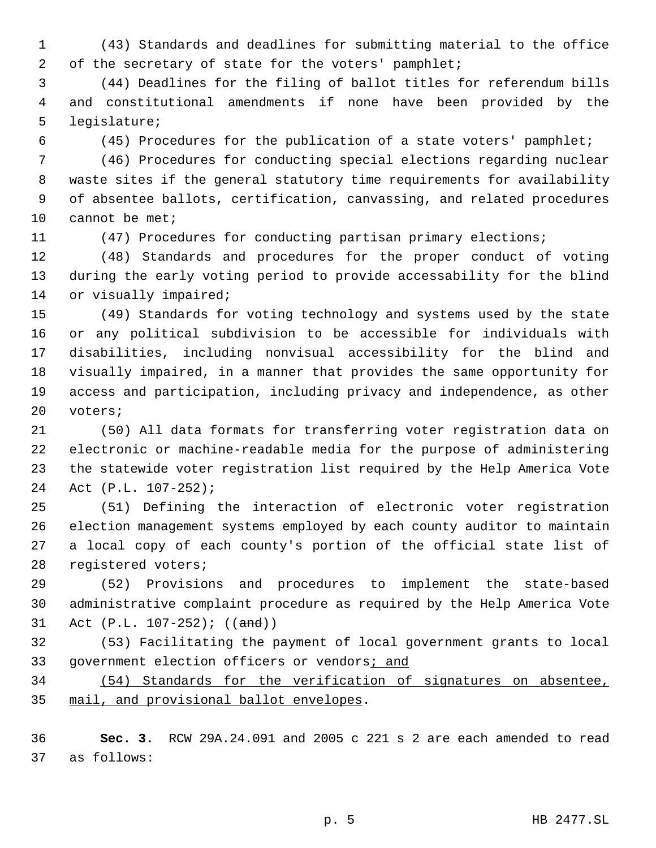- (43) Standards and deadlines for submitting material to the office 2 of the secretary of state for the voters' pamphlet;
- (44) Deadlines for the filing of ballot titles for referendum bills and constitutional amendments if none have been provided by the legislature;
- 

(45) Procedures for the publication of a state voters' pamphlet;

 (46) Procedures for conducting special elections regarding nuclear waste sites if the general statutory time requirements for availability of absentee ballots, certification, canvassing, and related procedures 10 cannot be met;

(47) Procedures for conducting partisan primary elections;

 (48) Standards and procedures for the proper conduct of voting during the early voting period to provide accessability for the blind 14 or visually impaired;

 (49) Standards for voting technology and systems used by the state or any political subdivision to be accessible for individuals with disabilities, including nonvisual accessibility for the blind and visually impaired, in a manner that provides the same opportunity for access and participation, including privacy and independence, as other voters;

 (50) All data formats for transferring voter registration data on electronic or machine-readable media for the purpose of administering the statewide voter registration list required by the Help America Vote Act (P.L. 107-252);

 (51) Defining the interaction of electronic voter registration election management systems employed by each county auditor to maintain a local copy of each county's portion of the official state list of registered voters;

 (52) Provisions and procedures to implement the state-based administrative complaint procedure as required by the Help America Vote 31 Act (P.L. 107-252); ((and))

 (53) Facilitating the payment of local government grants to local 33 government election officers or vendors*i* and

 (54) Standards for the verification of signatures on absentee, mail, and provisional ballot envelopes.

 **Sec. 3.** RCW 29A.24.091 and 2005 c 221 s 2 are each amended to read as follows: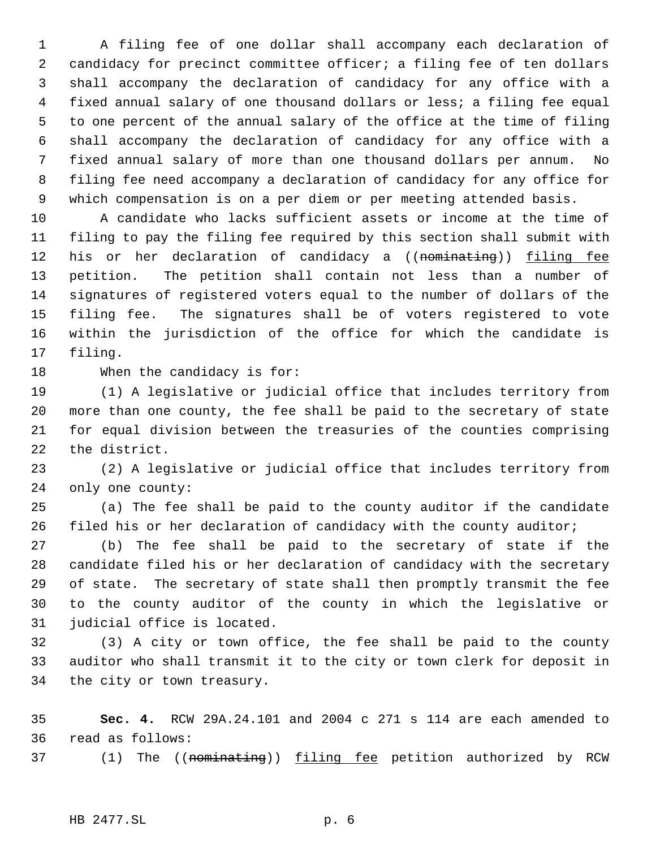A filing fee of one dollar shall accompany each declaration of candidacy for precinct committee officer; a filing fee of ten dollars shall accompany the declaration of candidacy for any office with a fixed annual salary of one thousand dollars or less; a filing fee equal to one percent of the annual salary of the office at the time of filing shall accompany the declaration of candidacy for any office with a fixed annual salary of more than one thousand dollars per annum. No filing fee need accompany a declaration of candidacy for any office for which compensation is on a per diem or per meeting attended basis.

 A candidate who lacks sufficient assets or income at the time of filing to pay the filing fee required by this section shall submit with 12 his or her declaration of candidacy a ((nominating)) filing fee petition. The petition shall contain not less than a number of signatures of registered voters equal to the number of dollars of the filing fee. The signatures shall be of voters registered to vote within the jurisdiction of the office for which the candidate is filing.

When the candidacy is for:

 (1) A legislative or judicial office that includes territory from more than one county, the fee shall be paid to the secretary of state for equal division between the treasuries of the counties comprising the district.

 (2) A legislative or judicial office that includes territory from only one county:

 (a) The fee shall be paid to the county auditor if the candidate filed his or her declaration of candidacy with the county auditor;

 (b) The fee shall be paid to the secretary of state if the candidate filed his or her declaration of candidacy with the secretary of state. The secretary of state shall then promptly transmit the fee to the county auditor of the county in which the legislative or judicial office is located.

 (3) A city or town office, the fee shall be paid to the county auditor who shall transmit it to the city or town clerk for deposit in the city or town treasury.

 **Sec. 4.** RCW 29A.24.101 and 2004 c 271 s 114 are each amended to read as follows:

37 (1) The ((nominating)) filing fee petition authorized by RCW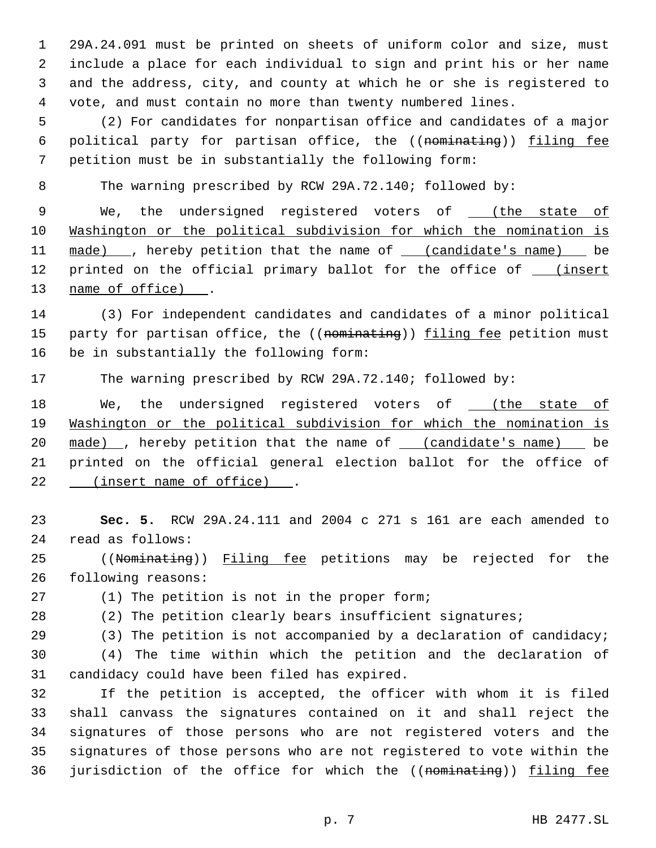29A.24.091 must be printed on sheets of uniform color and size, must include a place for each individual to sign and print his or her name and the address, city, and county at which he or she is registered to vote, and must contain no more than twenty numbered lines.

 (2) For candidates for nonpartisan office and candidates of a major 6 political party for partisan office, the ((nominating)) filing fee petition must be in substantially the following form:

The warning prescribed by RCW 29A.72.140; followed by:

9 We, the undersigned registered voters of \_ (the state of Washington or the political subdivision for which the nomination is 11 made) , hereby petition that the name of (candidate's name) be 12 printed on the official primary ballot for the office of \_\_\_ (insert name of office) .

 (3) For independent candidates and candidates of a minor political 15 party for partisan office, the ((nominating)) filing fee petition must be in substantially the following form:

The warning prescribed by RCW 29A.72.140; followed by:

18 We, the undersigned registered voters of \_\_\_ (the state of Washington or the political subdivision for which the nomination is 20 made) , hereby petition that the name of <u>(candidate's name)</u> be printed on the official general election ballot for the office of 22 (insert name of office).

 **Sec. 5.** RCW 29A.24.111 and 2004 c 271 s 161 are each amended to read as follows:

25 ((Nominating)) Filing fee petitions may be rejected for the following reasons:

(1) The petition is not in the proper form;

(2) The petition clearly bears insufficient signatures;

29 (3) The petition is not accompanied by a declaration of candidacy;

 (4) The time within which the petition and the declaration of candidacy could have been filed has expired.

 If the petition is accepted, the officer with whom it is filed shall canvass the signatures contained on it and shall reject the signatures of those persons who are not registered voters and the signatures of those persons who are not registered to vote within the 36 jurisdiction of the office for which the ((nominating)) filing fee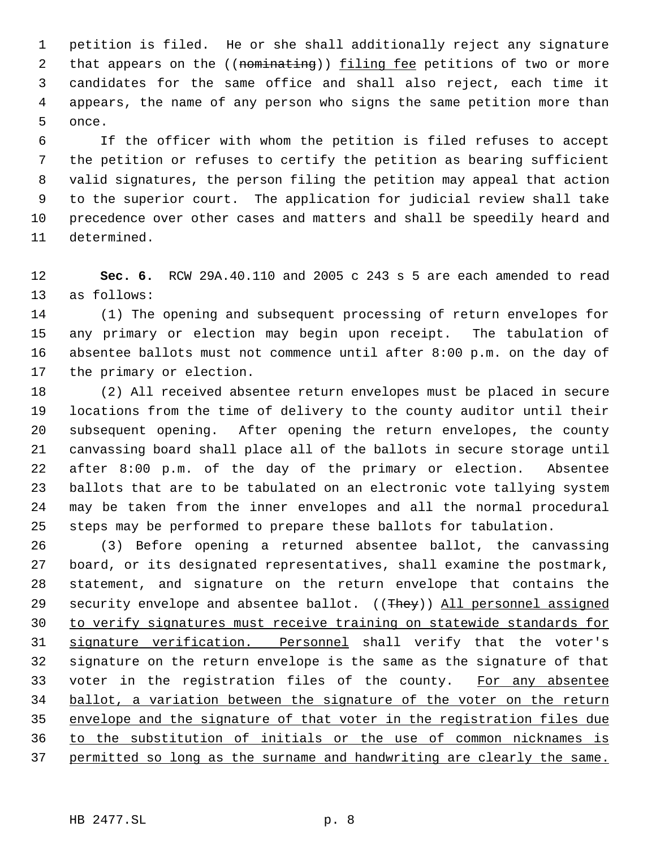petition is filed. He or she shall additionally reject any signature 2 that appears on the ((nominating)) filing fee petitions of two or more candidates for the same office and shall also reject, each time it appears, the name of any person who signs the same petition more than once.

 If the officer with whom the petition is filed refuses to accept the petition or refuses to certify the petition as bearing sufficient valid signatures, the person filing the petition may appeal that action to the superior court. The application for judicial review shall take precedence over other cases and matters and shall be speedily heard and determined.

 **Sec. 6.** RCW 29A.40.110 and 2005 c 243 s 5 are each amended to read as follows:

 (1) The opening and subsequent processing of return envelopes for any primary or election may begin upon receipt. The tabulation of absentee ballots must not commence until after 8:00 p.m. on the day of the primary or election.

 (2) All received absentee return envelopes must be placed in secure locations from the time of delivery to the county auditor until their subsequent opening. After opening the return envelopes, the county canvassing board shall place all of the ballots in secure storage until after 8:00 p.m. of the day of the primary or election. Absentee ballots that are to be tabulated on an electronic vote tallying system may be taken from the inner envelopes and all the normal procedural steps may be performed to prepare these ballots for tabulation.

 (3) Before opening a returned absentee ballot, the canvassing board, or its designated representatives, shall examine the postmark, statement, and signature on the return envelope that contains the 29 security envelope and absentee ballot. ((They)) All personnel assigned to verify signatures must receive training on statewide standards for signature verification. Personnel shall verify that the voter's signature on the return envelope is the same as the signature of that 33 voter in the registration files of the county. For any absentee ballot, a variation between the signature of the voter on the return envelope and the signature of that voter in the registration files due to the substitution of initials or the use of common nicknames is permitted so long as the surname and handwriting are clearly the same.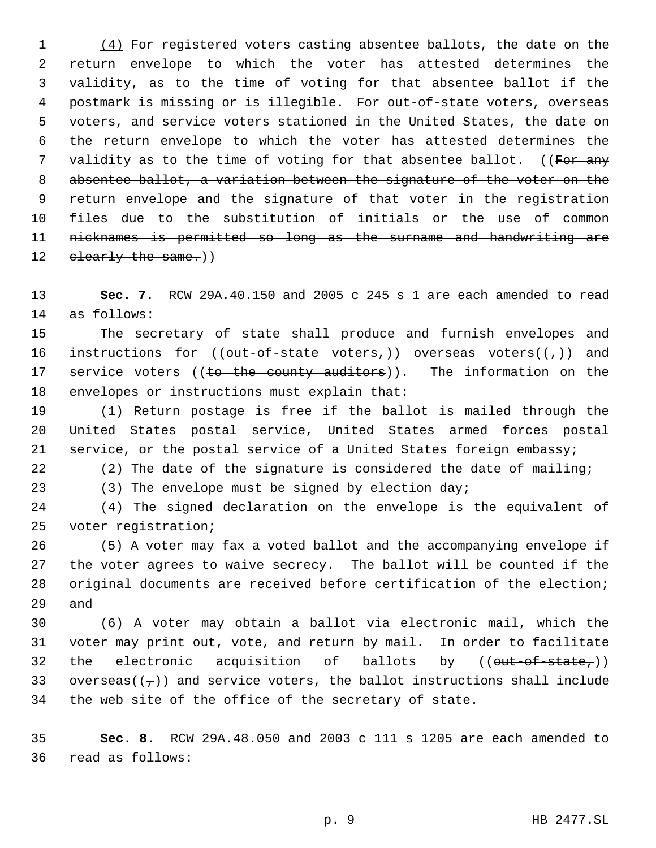1 (4) For registered voters casting absentee ballots, the date on the return envelope to which the voter has attested determines the validity, as to the time of voting for that absentee ballot if the postmark is missing or is illegible. For out-of-state voters, overseas voters, and service voters stationed in the United States, the date on the return envelope to which the voter has attested determines the 7 validity as to the time of voting for that absentee ballot. ((For any absentee ballot, a variation between the signature of the voter on the 9 return envelope and the signature of that voter in the registration 10 files due to the substitution of initials or the use of common nicknames is permitted so long as the surname and handwriting are 12 clearly the same.))

 **Sec. 7.** RCW 29A.40.150 and 2005 c 245 s 1 are each amended to read as follows:

 The secretary of state shall produce and furnish envelopes and 16 instructions for (( $\theta$ ut-of-state voters,)) overseas voters( $(\tau)$ ) and 17 service voters ((to the county auditors)). The information on the envelopes or instructions must explain that:

 (1) Return postage is free if the ballot is mailed through the United States postal service, United States armed forces postal service, or the postal service of a United States foreign embassy;

(2) The date of the signature is considered the date of mailing;

(3) The envelope must be signed by election day;

 (4) The signed declaration on the envelope is the equivalent of voter registration;

 (5) A voter may fax a voted ballot and the accompanying envelope if the voter agrees to waive secrecy. The ballot will be counted if the original documents are received before certification of the election; and

 (6) A voter may obtain a ballot via electronic mail, which the voter may print out, vote, and return by mail. In order to facilitate 32 the electronic acquisition of ballots by  $((\text{out-of-state}_{\tau}))$ 33 overseas( $(\tau)$ ) and service voters, the ballot instructions shall include the web site of the office of the secretary of state.

 **Sec. 8.** RCW 29A.48.050 and 2003 c 111 s 1205 are each amended to read as follows: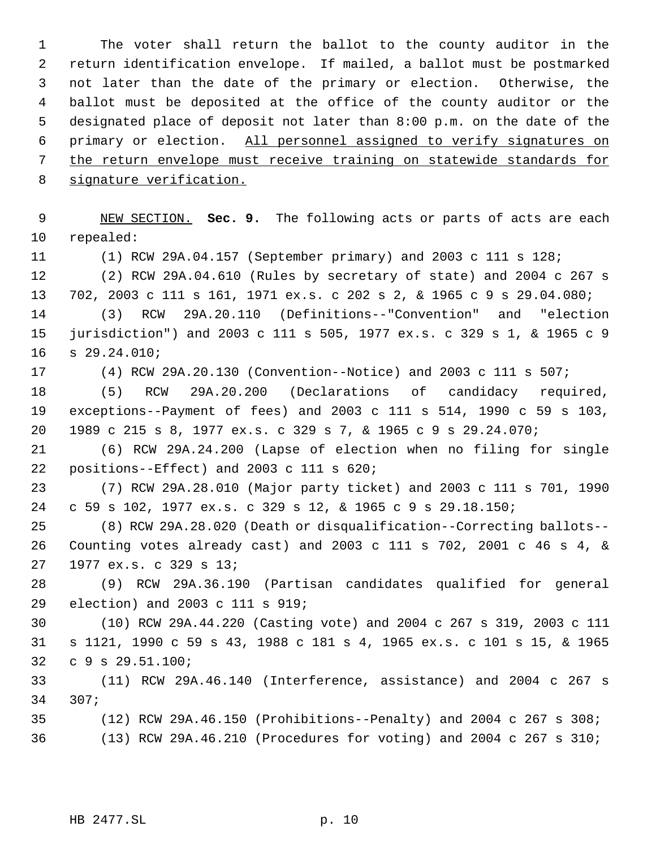The voter shall return the ballot to the county auditor in the return identification envelope. If mailed, a ballot must be postmarked not later than the date of the primary or election. Otherwise, the ballot must be deposited at the office of the county auditor or the designated place of deposit not later than 8:00 p.m. on the date of the primary or election. All personnel assigned to verify signatures on the return envelope must receive training on statewide standards for signature verification.

 NEW SECTION. **Sec. 9.** The following acts or parts of acts are each repealed:

(1) RCW 29A.04.157 (September primary) and 2003 c 111 s 128;

 (2) RCW 29A.04.610 (Rules by secretary of state) and 2004 c 267 s 702, 2003 c 111 s 161, 1971 ex.s. c 202 s 2, & 1965 c 9 s 29.04.080; (3) RCW 29A.20.110 (Definitions--"Convention" and "election

 jurisdiction") and 2003 c 111 s 505, 1977 ex.s. c 329 s 1, & 1965 c 9 s 29.24.010;

(4) RCW 29A.20.130 (Convention--Notice) and 2003 c 111 s 507;

 (5) RCW 29A.20.200 (Declarations of candidacy required, exceptions--Payment of fees) and 2003 c 111 s 514, 1990 c 59 s 103, 1989 c 215 s 8, 1977 ex.s. c 329 s 7, & 1965 c 9 s 29.24.070;

 (6) RCW 29A.24.200 (Lapse of election when no filing for single positions--Effect) and 2003 c 111 s 620;

 (7) RCW 29A.28.010 (Major party ticket) and 2003 c 111 s 701, 1990 c 59 s 102, 1977 ex.s. c 329 s 12, & 1965 c 9 s 29.18.150;

 (8) RCW 29A.28.020 (Death or disqualification--Correcting ballots-- Counting votes already cast) and 2003 c 111 s 702, 2001 c 46 s 4, & 1977 ex.s. c 329 s 13;

 (9) RCW 29A.36.190 (Partisan candidates qualified for general election) and 2003 c 111 s 919;

 (10) RCW 29A.44.220 (Casting vote) and 2004 c 267 s 319, 2003 c 111 s 1121, 1990 c 59 s 43, 1988 c 181 s 4, 1965 ex.s. c 101 s 15, & 1965 c 9 s 29.51.100;

 (11) RCW 29A.46.140 (Interference, assistance) and 2004 c 267 s 307;

 (12) RCW 29A.46.150 (Prohibitions--Penalty) and 2004 c 267 s 308; (13) RCW 29A.46.210 (Procedures for voting) and 2004 c 267 s 310;